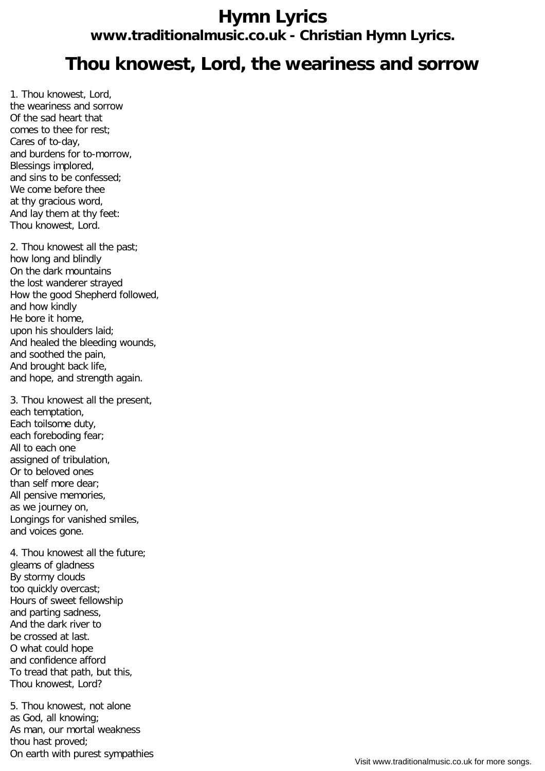## **Hymn Lyrics www.traditionalmusic.co.uk - Christian Hymn Lyrics.**

## **Thou knowest, Lord, the weariness and sorrow**

1. Thou knowest, Lord, the weariness and sorrow Of the sad heart that comes to thee for rest; Cares of to-day, and burdens for to-morrow, Blessings implored, and sins to be confessed; We come before thee at thy gracious word, And lay them at thy feet: Thou knowest, Lord.

2. Thou knowest all the past; how long and blindly On the dark mountains the lost wanderer strayed How the good Shepherd followed, and how kindly He bore it home, upon his shoulders laid; And healed the bleeding wounds, and soothed the pain, And brought back life, and hope, and strength again.

3. Thou knowest all the present, each temptation, Each toilsome duty, each foreboding fear; All to each one assigned of tribulation, Or to beloved ones than self more dear; All pensive memories, as we journey on, Longings for vanished smiles, and voices gone.

4. Thou knowest all the future; gleams of gladness By stormy clouds too quickly overcast; Hours of sweet fellowship and parting sadness, And the dark river to be crossed at last. O what could hope and confidence afford To tread that path, but this, Thou knowest, Lord?

5. Thou knowest, not alone as God, all knowing; As man, our mortal weakness thou hast proved; On earth with purest sympathies